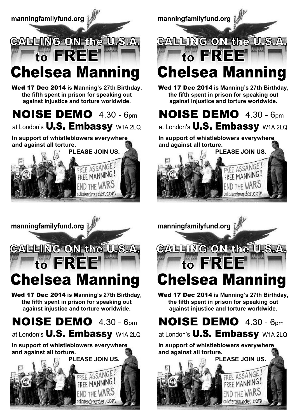



Wed 17 Dec 2014 **is Manning's 27th Birthday, the fifth spent in prison for speaking out against injustice and torture worldwide.**

**NOISE DEMO**  $4.30 - 6<sub>pm</sub>$ 

at London's **U.S. Embassy** W1A 2LQ

**In support of whistleblowers everywhere and against all torture.**





Wed 17 Dec 2014 **is Manning's 27th Birthday, the fifth spent in prison for speaking out against injustice and torture worldwide.**

**NOISE DEMO**  $4.30 - 6$ pm at London's **U.S. Embassy** W1A 2LQ

**In support of whistleblowers everywhere and against all torture.**